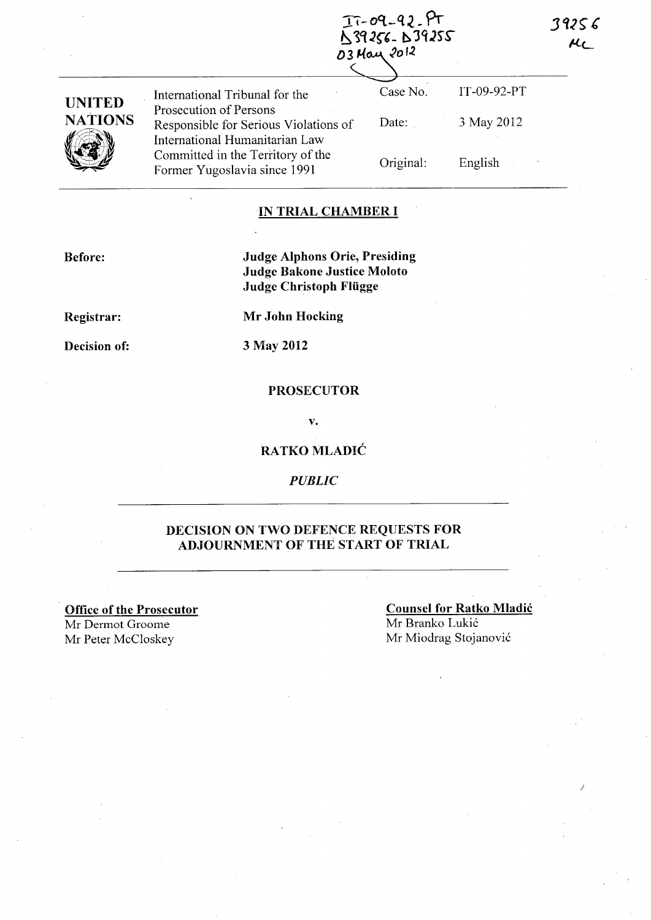$T - 09 - 92 - PT$ <br> $S$ 39256 - 1939255 03 May 2012

| <b>UNITED</b><br><b>NATIONS</b> | International Tribunal for the                                                                    | Case No.  | IT-09-92-PT |
|---------------------------------|---------------------------------------------------------------------------------------------------|-----------|-------------|
|                                 | Prosecution of Persons<br>Responsible for Serious Violations of<br>International Humanitarian Law | Date:     | 3 May 2012  |
|                                 | Committed in the Territory of the<br>Former Yugoslavia since 1991                                 | Original: | English     |

### ·IN **TRIAL CHAMBER I**

**Before:** 

**Judge Alphons Orie, Presiding Judge Bakone Justice Moloto Judge Christoph Fliigge** 

**Registrar:** 

**Decision of:** 

**3 May 2012** 

**Mr John Hocking** 

#### **PROSECUTOR**

v.

# **RATKO** MLADIĆ

*PUBLIC* 

# **DECISION ON TWO DEFENCE REQUESTS FOR ADJOURNMENT OF THE START OF TRIAL**

**Office of the Prosecutor** 

Mr Derrnot Groome Mr Peter McCloskey Mr Miodrag Stojanović

**Counsel for Ratko** Mladić Mr Branko Lukić

J

39256  $AC$